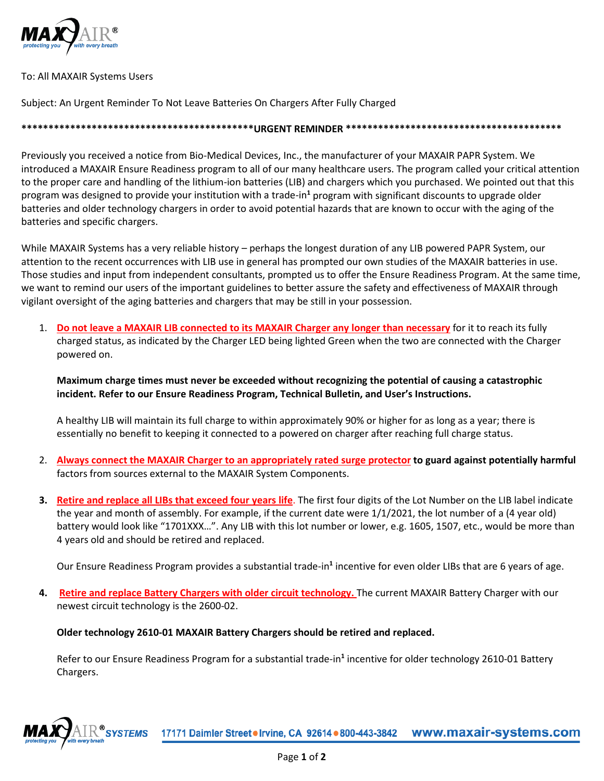

## To: All MAXAIR Systems Users

Subject: An Urgent Reminder To Not Leave Batteries On Chargers After Fully Charged

**\*\*\*\*\*\*\*\*\*\*\*\*\*\*\*\*\*\*\*\*\*\*\*\*\*\*\*\*\*\*\*\*\*\*\*\*\*\*\*\*\*\*\*URGENT REMINDER \*\*\*\*\*\*\*\*\*\*\*\*\*\*\*\*\*\*\*\*\*\*\*\*\*\*\*\*\*\*\*\*\*\*\*\*\*\*\*\***

Previously you received a notice from Bio-Medical Devices, Inc., the manufacturer of your MAXAIR PAPR System. We introduced a MAXAIR Ensure Readiness program to all of our many healthcare users. The program called your critical attention to the proper care and handling of the lithium-ion batteries (LIB) and chargers which you purchased. We pointed out that this program was designed to provide your institution with a trade-in**<sup>1</sup>** program with significant discounts to upgrade older batteries and older technology chargers in order to avoid potential hazards that are known to occur with the aging of the batteries and specific chargers.

While MAXAIR Systems has a very reliable history – perhaps the longest duration of any LIB powered PAPR System, our attention to the recent occurrences with LIB use in general has prompted our own studies of the MAXAIR batteries in use. Those studies and input from independent consultants, prompted us to offer the Ensure Readiness Program. At the same time, we want to remind our users of the important guidelines to better assure the safety and effectiveness of MAXAIR through vigilant oversight of the aging batteries and chargers that may be still in your possession.

1. **Do not leave a MAXAIR LIB connected to its MAXAIR Charger any longer than necessary** for it to reach its fully charged status, as indicated by the Charger LED being lighted Green when the two are connected with the Charger powered on.

**Maximum charge times must never be exceeded without recognizing the potential of causing a catastrophic incident. Refer to our Ensure Readiness Program, Technical Bulletin, and User's Instructions.**

A healthy LIB will maintain its full charge to within approximately 90% or higher for as long as a year; there is essentially no benefit to keeping it connected to a powered on charger after reaching full charge status.

- 2. **Always connect the MAXAIR Charger to an appropriately rated surge protector to guard against potentially harmful** factors from sources external to the MAXAIR System Components.
- **3. Retire and replace all LIBs that exceed four years life**. The first four digits of the Lot Number on the LIB label indicate the year and month of assembly. For example, if the current date were 1/1/2021, the lot number of a (4 year old) battery would look like "1701XXX…". Any LIB with this lot number or lower, e.g. 1605, 1507, etc., would be more than 4 years old and should be retired and replaced.

Our Ensure Readiness Program provides a substantial trade-in**<sup>1</sup>** incentive for even older LIBs that are 6 years of age.

**4. Retire and replace Battery Chargers with older circuit technology.** The current MAXAIR Battery Charger with our newest circuit technology is the 2600-02.

## **Older technology 2610-01 MAXAIR Battery Chargers should be retired and replaced.**

Refer to our Ensure Readiness Program for a substantial trade-in**<sup>1</sup>** incentive for older technology 2610-01 Battery Chargers.

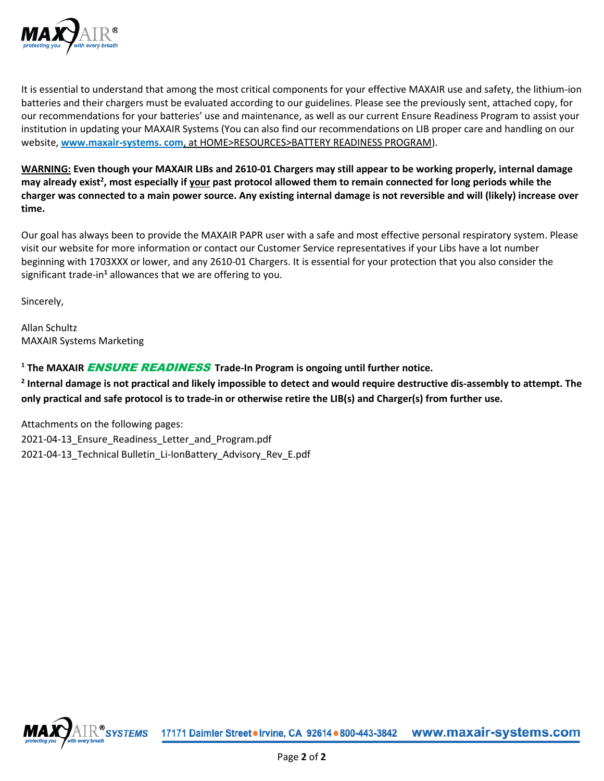

It is essential to understand that among the most critical components for your effective MAXAIR use and safety, the lithium-ion batteries and their chargers must be evaluated according to our guidelines. Please see the previously sent, attached copy, for our recommendations for your batteries' use and maintenance, as well as our current Ensure Readiness Program to assist your institution in updating your MAXAIR Systems (You can also find our recommendations on LIB proper care and handling on our website, **[www.maxair-systems.](http://www.maxair-systems/) com**, at HOME>RESOURCES>BATTERY READINESS PROGRAM).

**WARNING: Even though your MAXAIR LIBs and 2610-01 Chargers may still appear to be working properly, internal damage**  may already exist<sup>2</sup>, most especially if your past protocol allowed them to remain connected for long periods while the **charger was connected to a main power source. Any existing internal damage is not reversible and will (likely) increase over time.**

Our goal has always been to provide the MAXAIR PAPR user with a safe and most effective personal respiratory system. Please visit our website for more information or contact our Customer Service representatives if your Libs have a lot number beginning with 1703XXX or lower, and any 2610-01 Chargers. It is essential for your protection that you also consider the significant trade-in**<sup>1</sup>** allowances that we are offering to you.

Sincerely,

Allan Schultz MAXAIR Systems Marketing

**<sup>1</sup> The MAXAIR** ENSURE READINESS **Trade-In Program is ongoing until further notice.**

**<sup>2</sup> Internal damage is not practical and likely impossible to detect and would require destructive dis-assembly to attempt. The only practical and safe protocol is to trade-in or otherwise retire the LIB(s) and Charger(s) from further use.**

Attachments on the following pages: 2021-04-13\_Ensure\_Readiness\_Letter\_and\_Program.pdf 2021-04-13 Technical Bulletin\_Li-IonBattery\_Advisory\_Rev\_E.pdf

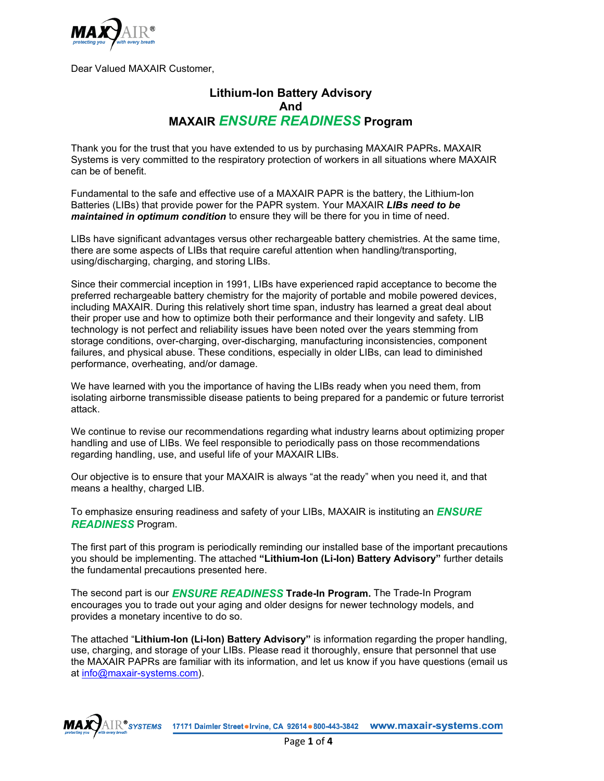

Dear Valued MAXAIR Customer,

## **Lithium-Ion Battery Advisory And MAXAIR** *ENSURE READINESS* **Program**

Thank you for the trust that you have extended to us by purchasing MAXAIR PAPRs**.** MAXAIR Systems is very committed to the respiratory protection of workers in all situations where MAXAIR can be of benefit.

Fundamental to the safe and effective use of a MAXAIR PAPR is the battery, the Lithium-Ion Batteries (LIBs) that provide power for the PAPR system. Your MAXAIR *LIBs need to be maintained in optimum condition* to ensure they will be there for you in time of need.

LIBs have significant advantages versus other rechargeable battery chemistries. At the same time, there are some aspects of LIBs that require careful attention when handling/transporting, using/discharging, charging, and storing LIBs.

Since their commercial inception in 1991, LIBs have experienced rapid acceptance to become the preferred rechargeable battery chemistry for the majority of portable and mobile powered devices, including MAXAIR. During this relatively short time span, industry has learned a great deal about their proper use and how to optimize both their performance and their longevity and safety. LIB technology is not perfect and reliability issues have been noted over the years stemming from storage conditions, over-charging, over-discharging, manufacturing inconsistencies, component failures, and physical abuse. These conditions, especially in older LIBs, can lead to diminished performance, overheating, and/or damage.

We have learned with you the importance of having the LIBs ready when you need them, from isolating airborne transmissible disease patients to being prepared for a pandemic or future terrorist attack.

We continue to revise our recommendations regarding what industry learns about optimizing proper handling and use of LIBs. We feel responsible to periodically pass on those recommendations regarding handling, use, and useful life of your MAXAIR LIBs.

Our objective is to ensure that your MAXAIR is always "at the ready" when you need it, and that means a healthy, charged LIB.

To emphasize ensuring readiness and safety of your LIBs, MAXAIR is instituting an *ENSURE READINESS* Program.

The first part of this program is periodically reminding our installed base of the important precautions you should be implementing. The attached **"Lithium-Ion (Li-Ion) Battery Advisory"** further details the fundamental precautions presented here.

The second part is our *ENSURE READINESS* **Trade-In Program.** The Trade-In Program encourages you to trade out your aging and older designs for newer technology models, and provides a monetary incentive to do so.

The attached "**Lithium-Ion (Li-Ion) Battery Advisory"** is information regarding the proper handling, use, charging, and storage of your LIBs. Please read it thoroughly, ensure that personnel that use the MAXAIR PAPRs are familiar with its information, and let us know if you have questions (email us at [info@maxair-systems.com\)](mailto:info@maxair-systems.com).

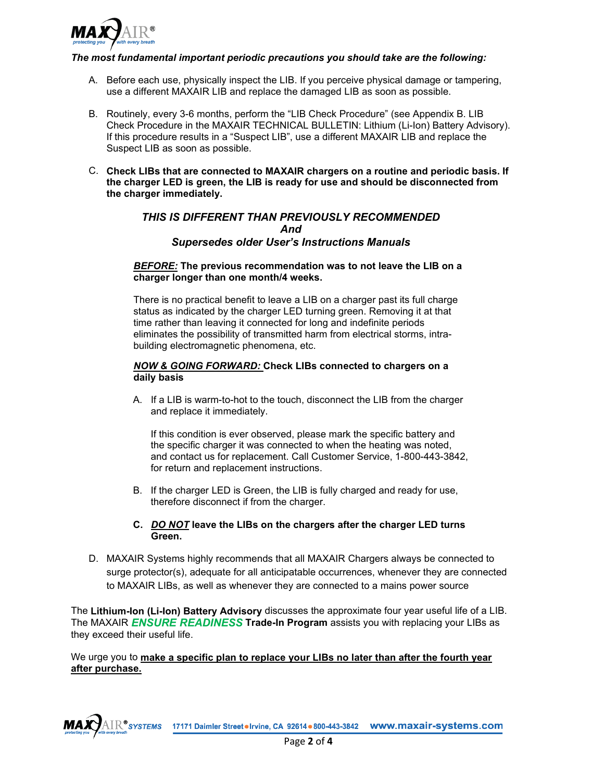

#### *The most fundamental important periodic precautions you should take are the following:*

- A. Before each use, physically inspect the LIB. If you perceive physical damage or tampering, use a different MAXAIR LIB and replace the damaged LIB as soon as possible.
- B. Routinely, every 3-6 months, perform the "LIB Check Procedure" (see Appendix B. LIB Check Procedure in the MAXAIR TECHNICAL BULLETIN: Lithium (Li-Ion) Battery Advisory). If this procedure results in a "Suspect LIB", use a different MAXAIR LIB and replace the Suspect LIB as soon as possible.
- C. **Check LIBs that are connected to MAXAIR chargers on a routine and periodic basis. If the charger LED is green, the LIB is ready for use and should be disconnected from the charger immediately.**

## *THIS IS DIFFERENT THAN PREVIOUSLY RECOMMENDED And Supersedes older User's Instructions Manuals*

#### *BEFORE:* **The previous recommendation was to not leave the LIB on a charger longer than one month/4 weeks.**

There is no practical benefit to leave a LIB on a charger past its full charge status as indicated by the charger LED turning green. Removing it at that time rather than leaving it connected for long and indefinite periods eliminates the possibility of transmitted harm from electrical storms, intrabuilding electromagnetic phenomena, etc.

#### *NOW & GOING FORWARD:* **Check LIBs connected to chargers on a daily basis**

A. If a LIB is warm-to-hot to the touch, disconnect the LIB from the charger and replace it immediately.

If this condition is ever observed, please mark the specific battery and the specific charger it was connected to when the heating was noted, and contact us for replacement. Call Customer Service, 1-800-443-3842, for return and replacement instructions.

B. If the charger LED is Green, the LIB is fully charged and ready for use, therefore disconnect if from the charger.

#### **C.** *DO NOT* **leave the LIBs on the chargers after the charger LED turns Green.**

D. MAXAIR Systems highly recommends that all MAXAIR Chargers always be connected to surge protector(s), adequate for all anticipatable occurrences, whenever they are connected to MAXAIR LIBs, as well as whenever they are connected to a mains power source

The **Lithium-Ion (Li-Ion) Battery Advisory** discusses the approximate four year useful life of a LIB. The MAXAIR *ENSURE READINESS* **Trade-In Program** assists you with replacing your LIBs as they exceed their useful life.

#### We urge you to **make a specific plan to replace your LIBs no later than after the fourth year after purchase.**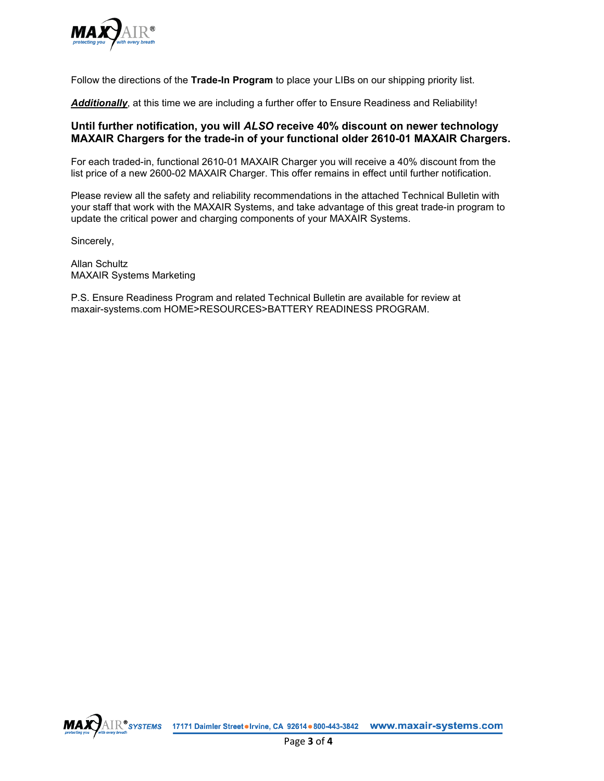

Follow the directions of the **Trade-In Program** to place your LIBs on our shipping priority list.

*Additionally*, at this time we are including a further offer to Ensure Readiness and Reliability!

## **Until further notification, you will** *ALSO* **receive 40% discount on newer technology MAXAIR Chargers for the trade-in of your functional older 2610-01 MAXAIR Chargers.**

For each traded-in, functional 2610-01 MAXAIR Charger you will receive a 40% discount from the list price of a new 2600-02 MAXAIR Charger. This offer remains in effect until further notification.

Please review all the safety and reliability recommendations in the attached Technical Bulletin with your staff that work with the MAXAIR Systems, and take advantage of this great trade-in program to update the critical power and charging components of your MAXAIR Systems.

Sincerely,

Allan Schultz MAXAIR Systems Marketing

P.S. Ensure Readiness Program and related Technical Bulletin are available for review at maxair-systems.com HOME>RESOURCES>BATTERY READINESS PROGRAM.

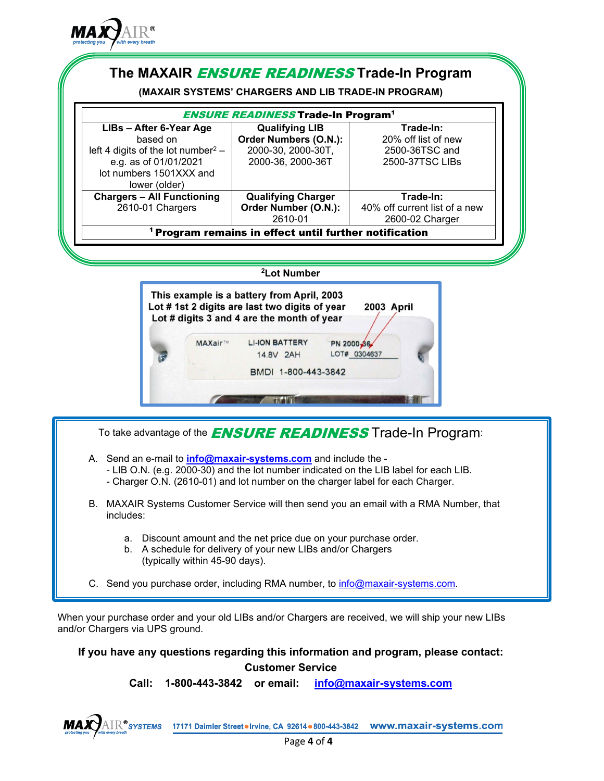

## **The MAXAIR** ENSURE READINESS **Trade-In Program**

**(MAXAIR SYSTEMS' CHARGERS AND LIB TRADE-IN PROGRAM)**

| <b>ENSURE READINESS Trade-In Program<sup>1</sup></b>              |                           |                               |  |  |  |  |
|-------------------------------------------------------------------|---------------------------|-------------------------------|--|--|--|--|
| LIBs - After 6-Year Age                                           | <b>Qualifying LIB</b>     | Trade-In:                     |  |  |  |  |
| based on                                                          | Order Numbers (O.N.):     | 20% off list of new           |  |  |  |  |
| left 4 digits of the lot number <sup>2</sup> –                    | 2000-30, 2000-30T,        | 2500-36TSC and                |  |  |  |  |
| e.g. as of 01/01/2021                                             | 2000-36, 2000-36T         | 2500-37TSC LIBs               |  |  |  |  |
| lot numbers 1501XXX and                                           |                           |                               |  |  |  |  |
| lower (older)                                                     |                           |                               |  |  |  |  |
| <b>Chargers - All Functioning</b>                                 | <b>Qualifying Charger</b> | Trade-In:                     |  |  |  |  |
| 2610-01 Chargers                                                  | Order Number (O.N.):      | 40% off current list of a new |  |  |  |  |
|                                                                   | 2610-01                   | 2600-02 Charger               |  |  |  |  |
| <sup>1</sup> Program remains in effect until further notification |                           |                               |  |  |  |  |

## **2 Lot Number**



To take advantage of the **ENSURE READINESS** Trade-In Program:

- A. Send an e-mail to **[info@maxair-systems.com](mailto:info@maxair-systems.com)** and include the
	- LIB O.N. (e.g. 2000-30) and the lot number indicated on the LIB label for each LIB.
	- Charger O.N. (2610-01) and lot number on the charger label for each Charger.
- B. MAXAIR Systems Customer Service will then send you an email with a RMA Number, that includes:
	- a. Discount amount and the net price due on your purchase order.
	- b. A schedule for delivery of your new LIBs and/or Chargers (typically within 45-90 days).
- C. Send you purchase order, including RMA number, to [info@maxair-systems.com.](mailto:info@maxair-systems.com)

When your purchase order and your old LIBs and/or Chargers are received, we will ship your new LIBs and/or Chargers via UPS ground.

**If you have any questions regarding this information and program, please contact: Customer Service**

**Call: 1-800-443-3842 or email: [info@maxair-systems.com](mailto:info@maxair-systems.com)**

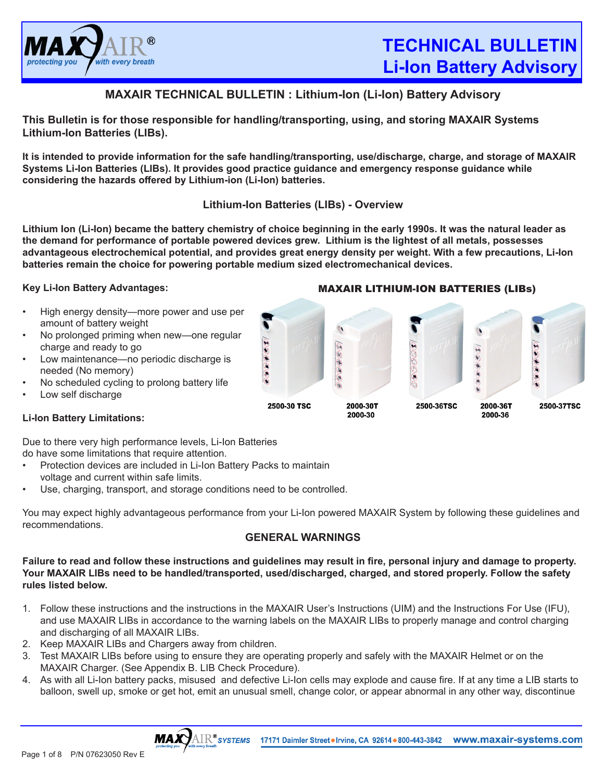

 $\mathcal{L}(\mathbf{Z})$ 

2500-37TSC

 $\bar{\ast}$ 

2000-36T

## **MAXAIR TECHNICAL BULLETIN : Lithium-Ion (Li-Ion) Battery Advisory**

**This Bulletin is for those responsible for handling/transporting, using, and storing MAXAIR Systems Lithium-Ion Batteries (LIBs).** 

**It is intended to provide information for the safe handling/transporting, use/discharge, charge, and storage of MAXAIR Systems Li-Ion Batteries (LIBs). It provides good practice guidance and emergency response guidance while considering the hazards offered by Lithium-ion (Li-Ion) batteries.** 

## **Lithium-Ion Batteries (LIBs) - Overview**

**Lithium Ion (Li-Ion) became the battery chemistry of choice beginning in the early 1990s. It was the natural leader as the demand for performance of portable powered devices grew. Lithium is the lightest of all metals, possesses advantageous electrochemical potential, and provides great energy density per weight. With a few precautions, Li-Ion batteries remain the choice for powering portable medium sized electromechanical devices.**

الہ کی کی تھی

2500-30 TSC

 $\mathbb{R}$ 

 $\mathbb{Q} \oplus \oplus \mathbb{Q}$ 

2000-30T

## **Key Li-Ion Battery Advantages:**

- High energy density—more power and use per amount of battery weight
- No prolonged priming when new—one regular charge and ready to go
- Low maintenance—no periodic discharge is needed (No memory)
- No scheduled cycling to prolong battery life
- Low self discharge

## **Li-Ion Battery Limitations:**

Due to there very high performance levels, Li-Ion Batteries do have some limitations that require attention.

- Protection devices are included in Li-Ion Battery Packs to maintain voltage and current within safe limits.
- Use, charging, transport, and storage conditions need to be controlled.

You may expect highly advantageous performance from your Li-Ion powered MAXAIR System by following these guidelines and recommendations.

## **GENERAL WARNINGS**

**Failure to read and follow these instructions and guidelines may result in fire, personal injury and damage to property. Your MAXAIR LIBs need to be handled/transported, used/discharged, charged, and stored properly. Follow the safety rules listed below.**

- 1. Follow these instructions and the instructions in the MAXAIR User's Instructions (UIM) and the Instructions For Use (IFU), and use MAXAIR LIBs in accordance to the warning labels on the MAXAIR LIBs to properly manage and control charging and discharging of all MAXAIR LIBs.
- 2. Keep MAXAIR LIBs and Chargers away from children.

**MAX** 

- 3. Test MAXAIR LIBs before using to ensure they are operating properly and safely with the MAXAIR Helmet or on the MAXAIR Charger. (See Appendix B. LIB Check Procedure).
- 4. As with all Li-Ion battery packs, misused and defective Li-Ion cells may explode and cause fire. If at any time a LIB starts to balloon, swell up, smoke or get hot, emit an unusual smell, change color, or appear abnormal in any other way, discontinue



#### MAXAIR LITHIUM-ION BATTERIES (LIBs)

2500-36TSC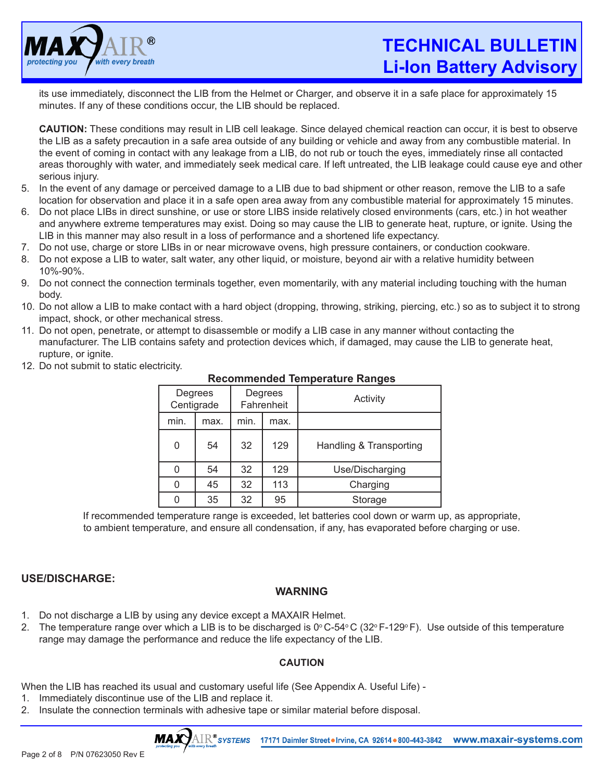

# **TECHNICAL BULLETIN Li-Ion Battery Advisory**

its use immediately, disconnect the LIB from the Helmet or Charger, and observe it in a safe place for approximately 15 minutes. If any of these conditions occur, the LIB should be replaced.

**CAUTION:** These conditions may result in LIB cell leakage. Since delayed chemical reaction can occur, it is best to observe the LIB as a safety precaution in a safe area outside of any building or vehicle and away from any combustible material. In the event of coming in contact with any leakage from a LIB, do not rub or touch the eyes, immediately rinse all contacted areas thoroughly with water, and immediately seek medical care. If left untreated, the LIB leakage could cause eye and other serious injury.

- 5. In the event of any damage or perceived damage to a LIB due to bad shipment or other reason, remove the LIB to a safe location for observation and place it in a safe open area away from any combustible material for approximately 15 minutes.
- 6. Do not place LIBs in direct sunshine, or use or store LIBS inside relatively closed environments (cars, etc.) in hot weather and anywhere extreme temperatures may exist. Doing so may cause the LIB to generate heat, rupture, or ignite. Using the LIB in this manner may also result in a loss of performance and a shortened life expectancy.
- 7. Do not use, charge or store LIBs in or near microwave ovens, high pressure containers, or conduction cookware.
- 8. Do not expose a LIB to water, salt water, any other liquid, or moisture, beyond air with a relative humidity between 10%-90%.
- 9. Do not connect the connection terminals together, even momentarily, with any material including touching with the human body.
- 10. Do not allow a LIB to make contact with a hard object (dropping, throwing, striking, piercing, etc.) so as to subject it to strong impact, shock, or other mechanical stress.
- 11. Do not open, penetrate, or attempt to disassemble or modify a LIB case in any manner without contacting the manufacturer. The LIB contains safety and protection devices which, if damaged, may cause the LIB to generate heat, rupture, or ignite.
	- Degrees **Centigrade Degrees** Fahrenheit Activity min.  $\parallel$  max.  $\parallel$  min.  $\parallel$  max. 0 | 54 | 32 | 129 | Handling & Transporting 0 | 54 | 32 | 129 | Use/Discharging 0 45 32 113 Charging 0 35 32 95 Storage
- 12. Do not submit to static electricity.

**Recommended Temperature Ranges**

If recommended temperature range is exceeded, let batteries cool down or warm up, as appropriate, to ambient temperature, and ensure all condensation, if any, has evaporated before charging or use.

## **USE/DISCHARGE:**

## **WARNING**

- 1. Do not discharge a LIB by using any device except a MAXAIR Helmet.
- 2. The temperature range over which a LIB is to be discharged is  $0^{\circ}$  C-54 $^{\circ}$  C (32 $^{\circ}$  F-129 $^{\circ}$  F). Use outside of this temperature range may damage the performance and reduce the life expectancy of the LIB.

## **CAUTION**

When the LIB has reached its usual and customary useful life (See Appendix A. Useful Life) -

- 1. Immediately discontinue use of the LIB and replace it.
- 2. Insulate the connection terminals with adhesive tape or similar material before disposal.

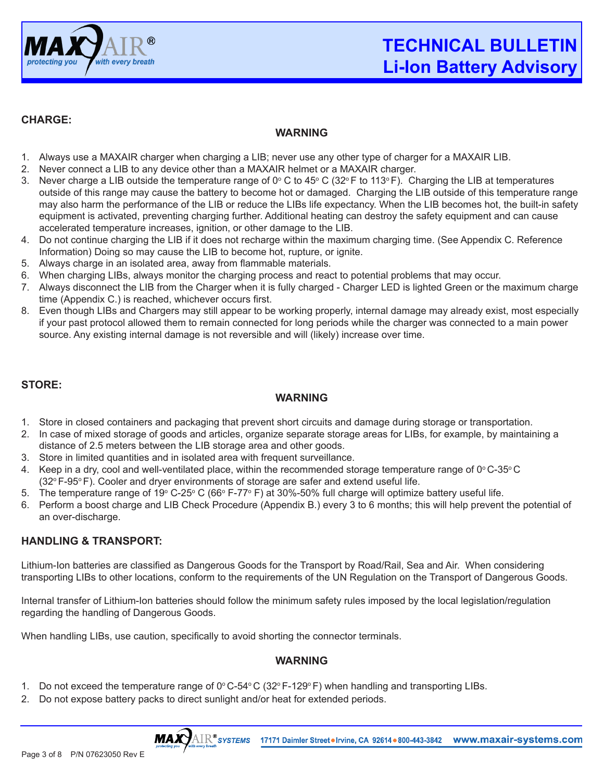

## **CHARGE:**

## **WARNING**

- 1. Always use a MAXAIR charger when charging a LIB; never use any other type of charger for a MAXAIR LIB.
- 2. Never connect a LIB to any device other than a MAXAIR helmet or a MAXAIR charger.
- 3. Never charge a LIB outside the temperature range of 0º C to 45º C (32º F to 113º F). Charging the LIB at temperatures outside of this range may cause the battery to become hot or damaged. Charging the LIB outside of this temperature range may also harm the performance of the LIB or reduce the LIBs life expectancy. When the LIB becomes hot, the built-in safety equipment is activated, preventing charging further. Additional heating can destroy the safety equipment and can cause accelerated temperature increases, ignition, or other damage to the LIB.
- 4. Do not continue charging the LIB if it does not recharge within the maximum charging time. (See Appendix C. Reference Information) Doing so may cause the LIB to become hot, rupture, or ignite.
- 5. Always charge in an isolated area, away from flammable materials.
- 6. When charging LIBs, always monitor the charging process and react to potential problems that may occur.
- 7. Always disconnect the LIB from the Charger when it is fully charged Charger LED is lighted Green or the maximum charge time (Appendix C.) is reached, whichever occurs first.
- 8. Even though LIBs and Chargers may still appear to be working properly, internal damage may already exist, most especially if your past protocol allowed them to remain connected for long periods while the charger was connected to a main power source. Any existing internal damage is not reversible and will (likely) increase over time.

## **STORE:**

## **WARNING**

- 1. Store in closed containers and packaging that prevent short circuits and damage during storage or transportation.
- 2. In case of mixed storage of goods and articles, organize separate storage areas for LIBs, for example, by maintaining a distance of 2.5 meters between the LIB storage area and other goods.
- 3. Store in limited quantities and in isolated area with frequent surveillance.
- 4. Keep in a dry, cool and well-ventilated place, within the recommended storage temperature range of  $0^{\circ}$ C-35 $^{\circ}$ C  $(32^{\circ}$  F-95 $^{\circ}$  F). Cooler and dryer environments of storage are safer and extend useful life.
- 5. The temperature range of 19º C-25º C (66º F-77º F) at 30%-50% full charge will optimize battery useful life.
- 6. Perform a boost charge and LIB Check Procedure (Appendix B.) every 3 to 6 months; this will help prevent the potential of an over-discharge.

## **HANDLING & TRANSPORT:**

Lithium-Ion batteries are classified as Dangerous Goods for the Transport by Road/Rail, Sea and Air. When considering transporting LIBs to other locations, conform to the requirements of the UN Regulation on the Transport of Dangerous Goods.

Internal transfer of Lithium-Ion batteries should follow the minimum safety rules imposed by the local legislation/regulation regarding the handling of Dangerous Goods.

When handling LIBs, use caution, specifically to avoid shorting the connector terminals.

## **WARNING**

- 1. Do not exceed the temperature range of  $0^{\circ}$  C-54 $^{\circ}$  C (32 $^{\circ}$  F-129 $^{\circ}$  F) when handling and transporting LIBs.
- 2. Do not expose battery packs to direct sunlight and/or heat for extended periods.

**MAXY**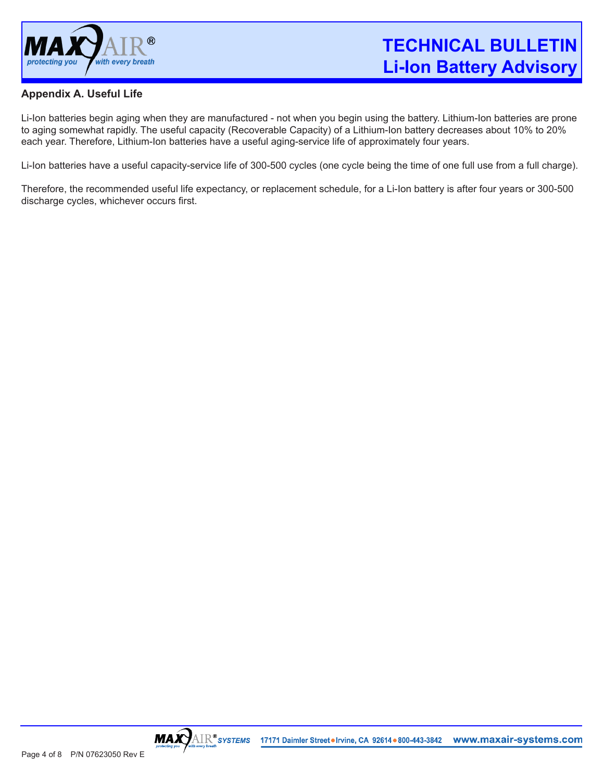

## **Appendix A. Useful Life**

Li-Ion batteries begin aging when they are manufactured - not when you begin using the battery. Lithium-Ion batteries are prone to aging somewhat rapidly. The useful capacity (Recoverable Capacity) of a Lithium-Ion battery decreases about 10% to 20% each year. Therefore, Lithium-Ion batteries have a useful aging-service life of approximately four years.

Li-Ion batteries have a useful capacity-service life of 300-500 cycles (one cycle being the time of one full use from a full charge).

Therefore, the recommended useful life expectancy, or replacement schedule, for a Li-Ion battery is after four years or 300-500 discharge cycles, whichever occurs first.

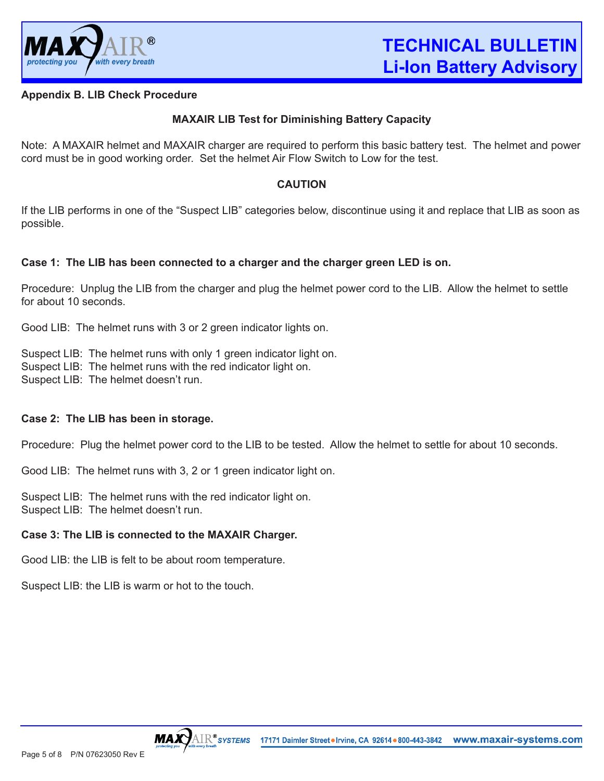

## **Appendix B. LIB Check Procedure**

## **MAXAIR LIB Test for Diminishing Battery Capacity**

Note: A MAXAIR helmet and MAXAIR charger are required to perform this basic battery test. The helmet and power cord must be in good working order. Set the helmet Air Flow Switch to Low for the test.

## **CAUTION**

If the LIB performs in one of the "Suspect LIB" categories below, discontinue using it and replace that LIB as soon as possible.

## **Case 1: The LIB has been connected to a charger and the charger green LED is on.**

Procedure: Unplug the LIB from the charger and plug the helmet power cord to the LIB. Allow the helmet to settle for about 10 seconds.

Good LIB: The helmet runs with 3 or 2 green indicator lights on.

Suspect LIB: The helmet runs with only 1 green indicator light on. Suspect LIB: The helmet runs with the red indicator light on. Suspect LIB: The helmet doesn't run.

## **Case 2: The LIB has been in storage.**

Procedure: Plug the helmet power cord to the LIB to be tested. Allow the helmet to settle for about 10 seconds.

Good LIB: The helmet runs with 3, 2 or 1 green indicator light on.

Suspect LIB: The helmet runs with the red indicator light on. Suspect LIB: The helmet doesn't run.

## **Case 3: The LIB is connected to the MAXAIR Charger.**

Good LIB: the LIB is felt to be about room temperature.

Suspect LIB: the LIB is warm or hot to the touch.

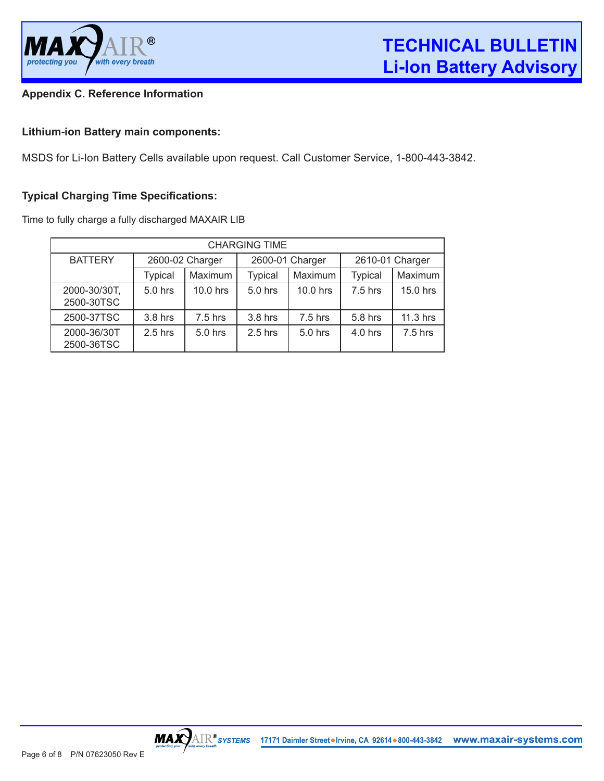

## **Appendix C. Reference Information**

## **Lithium-ion Battery main components:**

MSDS for Li-Ion Battery Cells available upon request. Call Customer Service, 1-800-443-3842.

## **Typical Charging Time Specifications:**

Time to fully charge a fully discharged MAXAIR LIB

| <b>CHARGING TIME</b>       |                 |           |                 |           |                 |           |  |  |
|----------------------------|-----------------|-----------|-----------------|-----------|-----------------|-----------|--|--|
| <b>BATTERY</b>             | 2600-02 Charger |           | 2600-01 Charger |           | 2610-01 Charger |           |  |  |
|                            | <b>Typical</b>  | Maximum   | <b>Typical</b>  | Maximum   | <b>Typical</b>  | Maximum   |  |  |
| 2000-30/30T,<br>2500-30TSC | $5.0$ hrs       | 10.0 hrs  | 5.0 hrs         | 10.0 hrs  | $7.5$ hrs       | 15.0 hrs  |  |  |
| 2500-37TSC                 | 3.8 hrs         | $7.5$ hrs | 3.8 hrs         | $7.5$ hrs | 5.8 hrs         | 11.3 hrs  |  |  |
| 2000-36/30T<br>2500-36TSC  | $2.5$ hrs       | $5.0$ hrs | $2.5$ hrs       | 5.0 hrs   | $4.0$ hrs       | $7.5$ hrs |  |  |

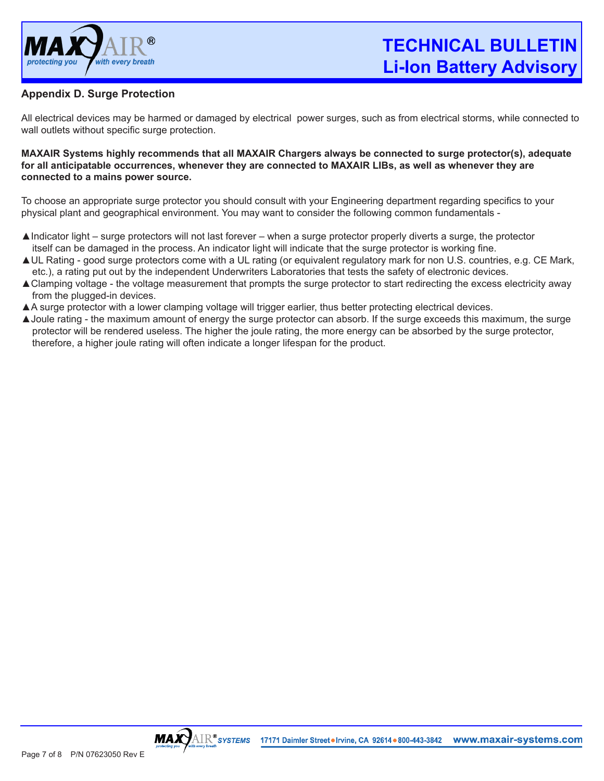

**TECHNICAL BULLETIN Li-Ion Battery Advisory**

## **Appendix D. Surge Protection**

All electrical devices may be harmed or damaged by electrical power surges, such as from electrical storms, while connected to wall outlets without specific surge protection.

#### **MAXAIR Systems highly recommends that all MAXAIR Chargers always be connected to surge protector(s), adequate for all anticipatable occurrences, whenever they are connected to MAXAIR LIBs, as well as whenever they are connected to a mains power source.**

To choose an appropriate surge protector you should consult with your Engineering department regarding specifics to your physical plant and geographical environment. You may want to consider the following common fundamentals -

- ▲Indicator light surge protectors will not last forever when a surge protector properly diverts a surge, the protector itself can be damaged in the process. An indicator light will indicate that the surge protector is working fine.
- ▲UL Rating good surge protectors come with a UL rating (or equivalent regulatory mark for non U.S. countries, e.g. CE Mark, etc.), a rating put out by the independent Underwriters Laboratories that tests the safety of electronic devices.
- ▲Clamping voltage the voltage measurement that prompts the surge protector to start redirecting the excess electricity away from the plugged-in devices.
- ▲A surge protector with a lower clamping voltage will trigger earlier, thus better protecting electrical devices.
- ▲Joule rating the maximum amount of energy the surge protector can absorb. If the surge exceeds this maximum, the surge protector will be rendered useless. The higher the joule rating, the more energy can be absorbed by the surge protector, therefore, a higher joule rating will often indicate a longer lifespan for the product.